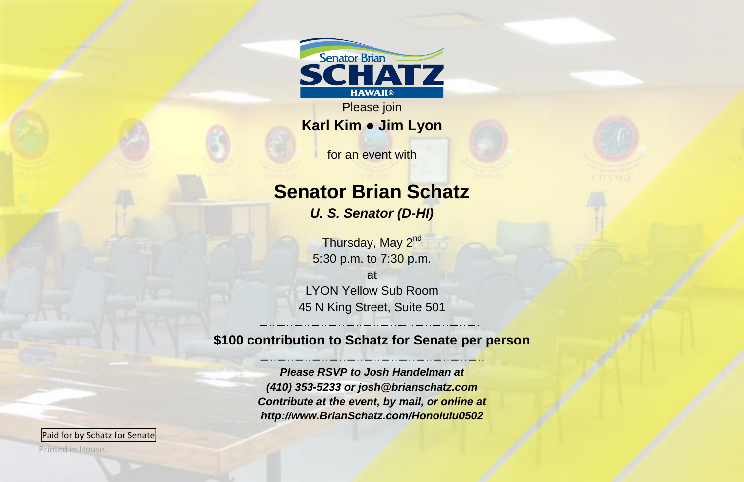

Please join **Karl Kim ● Jim Lyon**

for an event with

## **Senator Brian Schatz**

*U. S. Senator (D-HI)*

Thursday, May 2<sup>nd</sup> 5:30 p.m. to 7:30 p.m. at LYON Yellow Sub Room 45 N King Street, Suite 501

**\$100 contribution to Schatz for Senate per person**

*Please RSVP to Josh Handelman at (410) 353-5233 or josh@brianschatz.com Contribute at the event, by mail, or online at http://www.BrianSchatz.com/Honolulu0502*

Paid for by Schatz for Senate

Printed in House.